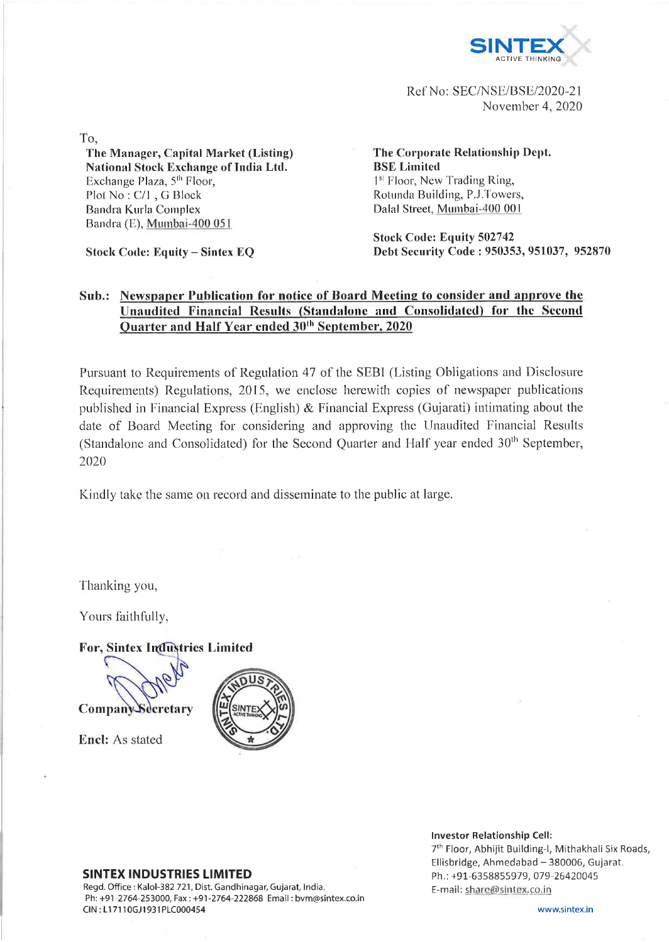

Ref No: SEC/NSE/BSE/2020-21 November 4, 2020

To,

**The Manager, Capital Market (Listing) National Stock Exchange of India Ltd.** Exchange Plaza,  $5<sup>th</sup>$  Floor, Plot No : C/l , G Block Bandra Kurla Complex Bandra (E), Mumbai-400 051

**Stock Code: Equity - Sintex EQ**

**The Corporate Relationship Dept. BSE Limited** 1<sup>st</sup> Floor, New Trading Ring, Rotunda Building, P.J.Towers, Dalai Street, Mumbai-400 001

**Stock Code: Equity 502742 Debt Security Code : 950353, 951037, 952870**

## **Sub.: Newspaper Publication for notice of Board Meeting to consider and approve the Unaudited Financial Results (Standalone and Consolidated) for the Second Quarter and Half Year ended 30th September, 2020**

Pursuant to Requirements of Regulation 47 of the SEBI (Listing Obligations and Disclosure Requirements) Regulations, 2015, we enclose herewith copies of newspaper publications published in Financial Express (English) & Financial Express (Gujarati) intimating about the date of Board Meeting for considering and approving the Unaudited Financial Results (Standalone and Consolidated) for the Second Quarter and Half year ended  $30<sup>th</sup>$  September, 2020

Kindly take the same on record and disseminate to the public at large.

Thanking you,

Yours faithfully,

**For, Sintex Industries Limited** 



**Encl:** As stated



SINTEX INDUSTRIES LIMITED Regd. Office : Kalol-382 721, Dist. Gandhinagar, Gujarat, India.

Ph: +91-2764-253000, Fax : +91-2764-222868 Email: [bvm@sintex.co.in](mailto:bvm@sintex.co.in) CIN : L17110GJ1931PLC000454

7th Floor, Abhijit Building-1, Mithakhali Six Roads, Ellisbridge, Ahmedabad - 380006, Gujarat. Ph.: +91-6358855979, 079-26420045 E-mail: share@sintex.co.in

Investor Relationship Cell: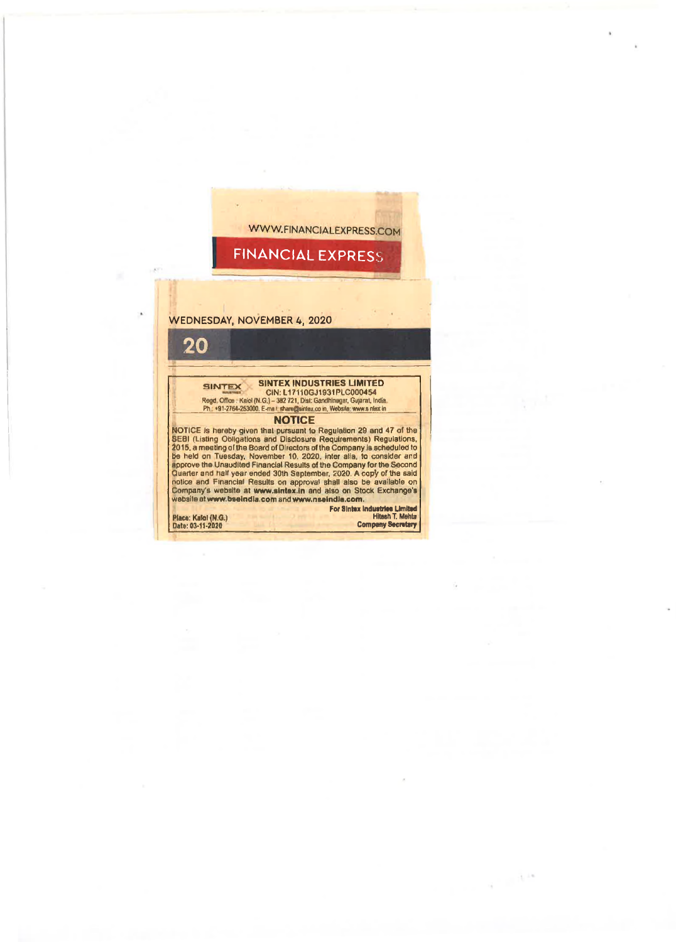

 $\alpha = 10^{10}$ 

٠